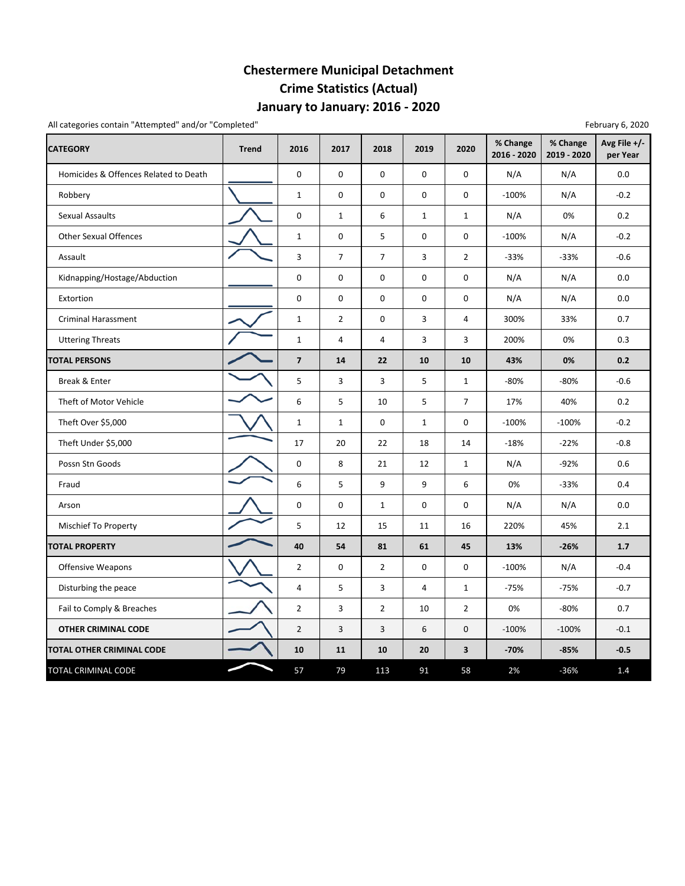## **Chestermere Municipal Detachment Crime Statistics (Actual) January to January: 2016 ‐ 2020**

All categories contain "Attempted" and/or "Completed" February 6, 2020

| <b>CATEGORY</b>                       | <b>Trend</b> | 2016           | 2017           | 2018           | 2019           | 2020           | % Change<br>2016 - 2020 | % Change<br>2019 - 2020 | Avg File +/-<br>per Year |
|---------------------------------------|--------------|----------------|----------------|----------------|----------------|----------------|-------------------------|-------------------------|--------------------------|
| Homicides & Offences Related to Death |              | $\mathbf 0$    | $\mathbf 0$    | 0              | $\mathbf 0$    | 0              | N/A                     | N/A                     | 0.0                      |
| Robbery                               |              | $\mathbf{1}$   | 0              | 0              | $\mathbf 0$    | 0              | $-100%$                 | N/A                     | $-0.2$                   |
| <b>Sexual Assaults</b>                |              | $\mathbf 0$    | $\mathbf{1}$   | 6              | $\mathbf 1$    | $\mathbf{1}$   | N/A                     | 0%                      | 0.2                      |
| <b>Other Sexual Offences</b>          |              | $\mathbf{1}$   | $\mathbf 0$    | 5              | 0              | 0              | $-100%$                 | N/A                     | $-0.2$                   |
| Assault                               |              | 3              | $\overline{7}$ | $\overline{7}$ | 3              | $\overline{2}$ | $-33%$                  | $-33%$                  | $-0.6$                   |
| Kidnapping/Hostage/Abduction          |              | $\mathbf 0$    | $\mathbf 0$    | 0              | 0              | 0              | N/A                     | N/A                     | 0.0                      |
| Extortion                             |              | $\pmb{0}$      | 0              | 0              | $\mathbf 0$    | 0              | N/A                     | N/A                     | 0.0                      |
| Criminal Harassment                   |              | $\mathbf{1}$   | $\overline{2}$ | 0              | 3              | 4              | 300%                    | 33%                     | 0.7                      |
| <b>Uttering Threats</b>               |              | $\mathbf 1$    | 4              | 4              | 3              | 3              | 200%                    | 0%                      | 0.3                      |
| <b>TOTAL PERSONS</b>                  |              | $\overline{7}$ | 14             | 22             | 10             | 10             | 43%                     | 0%                      | 0.2                      |
| Break & Enter                         |              | 5              | 3              | 3              | 5              | $\mathbf{1}$   | $-80%$                  | $-80%$                  | $-0.6$                   |
| Theft of Motor Vehicle                |              | 6              | 5              | 10             | 5              | $\overline{7}$ | 17%                     | 40%                     | 0.2                      |
| Theft Over \$5,000                    |              | $\mathbf{1}$   | $\mathbf{1}$   | 0              | $\mathbf{1}$   | 0              | $-100%$                 | $-100%$                 | $-0.2$                   |
| Theft Under \$5,000                   |              | 17             | 20             | 22             | 18             | 14             | $-18%$                  | $-22%$                  | $-0.8$                   |
| Possn Stn Goods                       |              | $\mathbf 0$    | 8              | 21             | 12             | $\mathbf{1}$   | N/A                     | $-92%$                  | 0.6                      |
| Fraud                                 |              | 6              | 5              | 9              | 9              | 6              | 0%                      | $-33%$                  | 0.4                      |
| Arson                                 |              | $\pmb{0}$      | $\pmb{0}$      | $\mathbf 1$    | $\mathbf 0$    | $\mathbf 0$    | N/A                     | N/A                     | 0.0                      |
| Mischief To Property                  |              | 5              | 12             | 15             | 11             | 16             | 220%                    | 45%                     | 2.1                      |
| <b>TOTAL PROPERTY</b>                 |              | 40             | 54             | 81             | 61             | 45             | 13%                     | $-26%$                  | 1.7                      |
| <b>Offensive Weapons</b>              |              | $\overline{2}$ | $\mathbf 0$    | $\overline{2}$ | $\pmb{0}$      | 0              | $-100%$                 | N/A                     | $-0.4$                   |
| Disturbing the peace                  |              | $\overline{4}$ | 5              | 3              | $\overline{4}$ | $\mathbf{1}$   | $-75%$                  | $-75%$                  | $-0.7$                   |
| Fail to Comply & Breaches             |              | $\overline{2}$ | 3              | $\overline{2}$ | 10             | $\overline{2}$ | 0%                      | $-80%$                  | 0.7                      |
| <b>OTHER CRIMINAL CODE</b>            |              | $\overline{2}$ | 3              | 3              | 6              | 0              | $-100%$                 | $-100%$                 | $-0.1$                   |
| TOTAL OTHER CRIMINAL CODE             |              | 10             | 11             | 10             | 20             | 3              | $-70%$                  | $-85%$                  | $-0.5$                   |
| TOTAL CRIMINAL CODE                   |              | 57             | 79             | 113            | 91             | 58             | 2%                      | $-36%$                  | 1.4                      |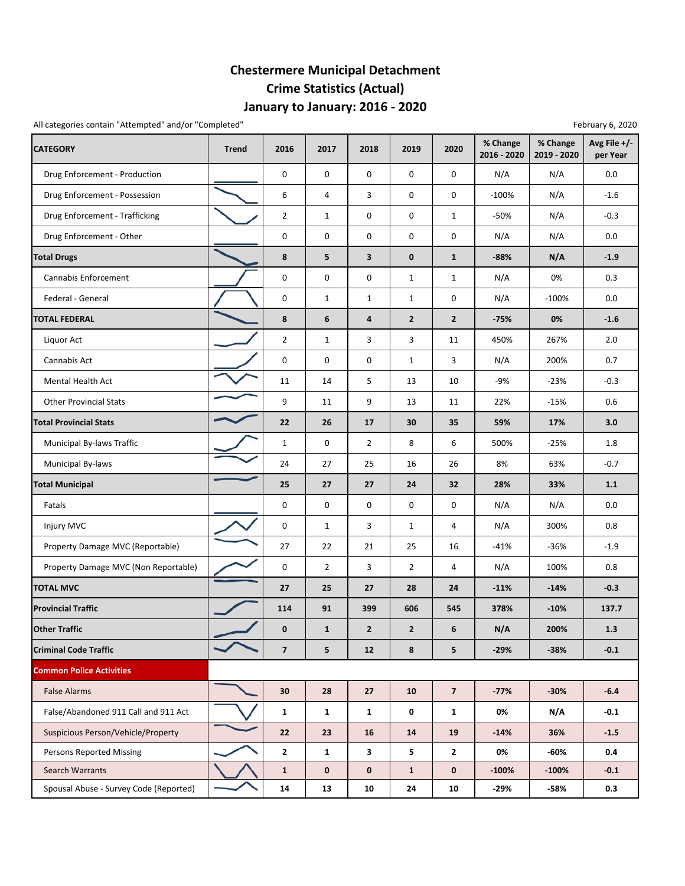## **Chestermere Municipal Detachment Crime Statistics (Actual) January to January: 2016 ‐ 2020**

All categories contain "Attempted" and/or "Completed" example the state of the state of the February 6, 2020 February 6, 2020

| <b>CATEGORY</b>                        | <b>Trend</b> | 2016                    | 2017           | 2018                    | 2019           | 2020           | % Change<br>2016 - 2020 | % Change<br>2019 - 2020 | Avg File +/-<br>per Year |
|----------------------------------------|--------------|-------------------------|----------------|-------------------------|----------------|----------------|-------------------------|-------------------------|--------------------------|
| Drug Enforcement - Production          |              | 0                       | 0              | 0                       | 0              | 0              | N/A                     | N/A                     | 0.0                      |
| Drug Enforcement - Possession          |              | 6                       | $\overline{4}$ | 3                       | 0              | 0              | $-100%$                 | N/A                     | $-1.6$                   |
| Drug Enforcement - Trafficking         |              | $\overline{2}$          | $\mathbf{1}$   | 0                       | 0              | $\mathbf{1}$   | $-50%$                  | N/A                     | $-0.3$                   |
| Drug Enforcement - Other               |              | $\pmb{0}$               | 0              | 0                       | 0              | 0              | N/A                     | N/A                     | 0.0                      |
| <b>Total Drugs</b>                     |              | 8                       | 5              | $\overline{\mathbf{3}}$ | $\bf{0}$       | $\mathbf{1}$   | $-88%$                  | N/A                     | $-1.9$                   |
| Cannabis Enforcement                   |              | 0                       | 0              | 0                       | $\mathbf{1}$   | $\mathbf{1}$   | N/A                     | 0%                      | 0.3                      |
| Federal - General                      |              | $\pmb{0}$               | $\mathbf{1}$   | $\mathbf{1}$            | $\mathbf{1}$   | 0              | N/A                     | $-100%$                 | 0.0                      |
| <b>TOTAL FEDERAL</b>                   |              | 8                       | 6              | $\overline{4}$          | $\overline{2}$ | $\mathbf{2}$   | $-75%$                  | 0%                      | $-1.6$                   |
| Liquor Act                             |              | $\overline{2}$          | $\mathbf{1}$   | 3                       | 3              | 11             | 450%                    | 267%                    | 2.0                      |
| Cannabis Act                           |              | 0                       | 0              | $\mathbf 0$             | $\mathbf{1}$   | 3              | N/A                     | 200%                    | 0.7                      |
| <b>Mental Health Act</b>               |              | 11                      | 14             | 5                       | 13             | 10             | $-9%$                   | $-23%$                  | $-0.3$                   |
| <b>Other Provincial Stats</b>          |              | 9                       | 11             | 9                       | 13             | 11             | 22%                     | $-15%$                  | 0.6                      |
| <b>Total Provincial Stats</b>          |              | 22                      | 26             | 17                      | 30             | 35             | 59%                     | 17%                     | 3.0                      |
| <b>Municipal By-laws Traffic</b>       |              | $\mathbf{1}$            | 0              | $\overline{2}$          | 8              | 6              | 500%                    | $-25%$                  | 1.8                      |
| Municipal By-laws                      |              | 24                      | 27             | 25                      | 16             | 26             | 8%                      | 63%                     | $-0.7$                   |
| <b>Total Municipal</b>                 |              | 25                      | 27             | 27                      | 24             | 32             | 28%                     | 33%                     | $1.1$                    |
| Fatals                                 |              | 0                       | 0              | 0                       | 0              | 0              | N/A                     | N/A                     | $0.0\,$                  |
| Injury MVC                             |              | 0                       | $\mathbf{1}$   | 3                       | $\mathbf{1}$   | 4              | N/A                     | 300%                    | 0.8                      |
| Property Damage MVC (Reportable)       |              | 27                      | 22             | 21                      | 25             | 16             | $-41%$                  | $-36%$                  | $-1.9$                   |
| Property Damage MVC (Non Reportable)   |              | $\mathbf 0$             | $\overline{2}$ | 3                       | $\overline{2}$ | 4              | N/A                     | 100%                    | 0.8                      |
| <b>TOTAL MVC</b>                       |              | 27                      | 25             | 27                      | 28             | 24             | $-11%$                  | $-14%$                  | $-0.3$                   |
| <b>Provincial Traffic</b>              |              | 114                     | 91             | 399                     | 606            | 545            | 378%                    | $-10%$                  | 137.7                    |
| <b>Other Traffic</b>                   |              | $\bf{0}$                | $\mathbf{1}$   | $\overline{2}$          | $\overline{2}$ | 6              | N/A                     | 200%                    | 1.3                      |
| <b>Criminal Code Traffic</b>           |              | $\overline{\mathbf{z}}$ | 5              | 12                      | 8              | 5              | $-29%$                  | $-38%$                  | $-0.1$                   |
| <b>Common Police Activities</b>        |              |                         |                |                         |                |                |                         |                         |                          |
| <b>False Alarms</b>                    |              | 30                      | 28             | 27                      | 10             | $\overline{7}$ | $-77%$                  | $-30%$                  | $-6.4$                   |
| False/Abandoned 911 Call and 911 Act   |              | $\mathbf{1}$            | $\mathbf{1}$   | $\mathbf{1}$            | 0              | $\mathbf{1}$   | 0%                      | N/A                     | $-0.1$                   |
| Suspicious Person/Vehicle/Property     |              | 22                      | 23             | 16                      | 14             | 19             | $-14%$                  | 36%                     | $-1.5$                   |
| <b>Persons Reported Missing</b>        |              | $\overline{2}$          | $\mathbf{1}$   | 3                       | 5              | $\mathbf{2}$   | 0%                      | -60%                    | 0.4                      |
| <b>Search Warrants</b>                 |              | $\mathbf{1}$            | $\bf{0}$       | $\bf{0}$                | $\mathbf{1}$   | 0              | $-100%$                 | $-100%$                 | $-0.1$                   |
| Spousal Abuse - Survey Code (Reported) |              | 14                      | 13             | 10                      | 24             | 10             | -29%                    | -58%                    | 0.3                      |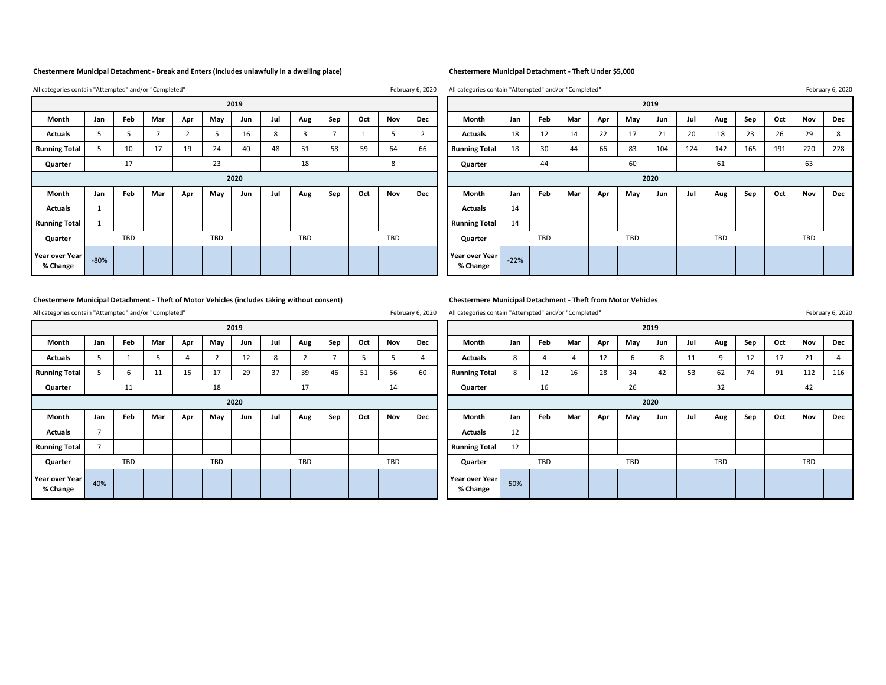### **Chestermere Municipal Detachment ‐ Break and Enters (includes unlawfully in a dwelling place) Chestermere Municipal Detachment ‐ Theft Under \$5,000**

All categories contain "Attempted" and/or "Completed" All categories contain "Attempted" and/or "Completed" All categories contain "Attempted" and/or "Completed" All categories contain "Attempted" and/or "Completed" All ca

All categories contain "Attempted" and/or "Completed" example the state of the state of the state of the February 6, 2020

**ActualsRunning Total** 5 10 17 19 24 40 48 51 58 59 64 66 **Running Total** 18 30 44 66 83 104 124 142 165 191 220 228 **Quarter Quarter Actuals** 1 **Actuals** 14 **Running Total** 1 **Running Total** 14 **Quarter Quarter 20192020% Change** ‐22% **Year over Year % Change** ‐80%

|                     | 2019   |     |     |     |     |      |     |     |     |     |     |     |                            |          |            |     |     |            | 2019 |     |            |     |     |     |     |
|---------------------|--------|-----|-----|-----|-----|------|-----|-----|-----|-----|-----|-----|----------------------------|----------|------------|-----|-----|------------|------|-----|------------|-----|-----|-----|-----|
| Month               | Jan    | Feb | Mar | Apr | May | Jun  | Jul | Aug | Sep | Oct | Nov | Dec | Month                      | Jan      | Feb        | Mar | Apr | May        | Jun  | Jul | Aug        | Sep | Oct | Nov | Dec |
| Actuals             |        |     |     |     |     | 16   |     |     |     |     |     |     | <b>Actuals</b>             | 18       | 12         | 14  | 22  | 17         | 21   | 20  | 18         | 23  | 26  | 29  |     |
| ning Total          |        | 10  | 17  | 19  | 24  | 40   | 48  | 51  | 58  | 59  | 64  | 66  | <b>Running Total</b>       | 18       | 30         | 44  | 66  | 83         | 104  | 124 | 142        | 165 | 191 | 220 | 228 |
| <b>Quarter</b>      |        | 17  |     |     | 23  |      |     | 18  |     |     | 8   |     | Quarter                    | 60<br>44 |            |     |     |            |      |     | 61         |     | 63  |     |     |
|                     |        |     |     |     |     | 2020 |     |     |     |     |     |     | 2020                       |          |            |     |     |            |      |     |            |     |     |     |     |
| Month               | Jan    | Feb | Mar | Apr | May | Jun  | Jul | Aug | Sep | Oct | Nov | Dec | Month                      | Jan      | Feb        | Mar | Apr | May        | Jun  | Jul | Aug        | Sep | Oct | Nov | Dec |
| Actuals             |        |     |     |     |     |      |     |     |     |     |     |     | <b>Actuals</b>             | 14       |            |     |     |            |      |     |            |     |     |     |     |
| ning Total          |        |     |     |     |     |      |     |     |     |     |     |     | <b>Running Total</b>       | 14       |            |     |     |            |      |     |            |     |     |     |     |
| <b>Quarter</b>      |        | TBD |     |     | TBD |      |     | TBD |     |     | TBD |     | Quarter                    |          | <b>TBD</b> |     |     | <b>TBD</b> |      |     | <b>TBD</b> |     |     | TBD |     |
| over Year<br>Change | $-80%$ |     |     |     |     |      |     |     |     |     |     |     | Year over Year<br>% Change | $-22%$   |            |     |     |            |      |     |            |     |     |     |     |

### **Chestermere Municipal Detachment ‐ Theft of Motor Vehicles (includes taking without consent) Chestermere Municipal Detachment ‐ Theft from Motor Vehicles**

All categories contain "Attempted" and/or "Completed" All categories contain "Attempted" and/or "Completed" February 6, 2020 February 6, 2020

| 2019                       |                          |     |             |                |     |      |     |     |     |     |            |     |                            |     |     |     |     |            | 2019 |     |     |     |     |     |                |
|----------------------------|--------------------------|-----|-------------|----------------|-----|------|-----|-----|-----|-----|------------|-----|----------------------------|-----|-----|-----|-----|------------|------|-----|-----|-----|-----|-----|----------------|
| Month                      | Jan                      | Feb | Mar         | Apr            | May | Jun  | Jul | Aug | Sep | Oct | Nov        | Dec | Month                      | Jan | Feb | Mar | Apr | May        | Jun  | Jul | Aug | Sep | Oct | Nov | Dec            |
| <b>Actuals</b>             | $\overline{\phantom{a}}$ |     |             | $\overline{4}$ |     | 12   | 8   |     |     | э   |            |     | <b>Actuals</b>             | 8   |     |     | 12  | b          | 8    | 11  |     | 12  | 17  | 21  | $\overline{4}$ |
| <b>Running Total</b>       |                          |     | $1^{\circ}$ | 15             | 17  | 29   | 37  | 39  | 46  | 51  | 56         | 60  | <b>Running Total</b>       | 8   | 12  | 16  | 28  | 34         | 42   | 53  | 62  | 74  | 91  | 112 | 116            |
| Quarter                    |                          | 11  |             |                | 18  |      |     | 17  |     |     | 14         |     | 16<br>Quarter              |     |     |     |     | 26         |      |     | 32  |     | 42  |     |                |
|                            |                          |     |             |                |     | 2020 |     |     |     |     |            |     | 2020                       |     |     |     |     |            |      |     |     |     |     |     |                |
| Month                      | Jan                      | Feb | Mar         | Apr            | May | Jun  | Jul | Aug | Sep | Oct | Nov        | Dec | Month                      | Jan | Feb | Mar | Apr | May        | Jun  | Jul | Aug | Sep | Oct | Nov | Dec            |
| <b>Actuals</b>             | -                        |     |             |                |     |      |     |     |     |     |            |     | <b>Actuals</b>             | 12  |     |     |     |            |      |     |     |     |     |     |                |
| <b>Running Total</b>       |                          |     |             |                |     |      |     |     |     |     |            |     | <b>Running Total</b>       | 12  |     |     |     |            |      |     |     |     |     |     |                |
| Quarter                    |                          | TBD |             |                | TBD |      |     | TBD |     |     | <b>TBD</b> |     | Quarter                    |     | TBD |     |     | <b>TBD</b> |      |     | TBD |     |     | TBD |                |
| Year over Year<br>% Change | 40%                      |     |             |                |     |      |     |     |     |     |            |     | Year over Year<br>% Change | 50% |     |     |     |            |      |     |     |     |     |     |                |

|                                         | 2019 |            |     |     |            |      |     |            |     |     |     |            |                      |     |     |     |     |            | 2019 |     |     |     |     |     |     |
|-----------------------------------------|------|------------|-----|-----|------------|------|-----|------------|-----|-----|-----|------------|----------------------|-----|-----|-----|-----|------------|------|-----|-----|-----|-----|-----|-----|
| Month                                   | Jan  | Feb        | Mar | Apr | May        | Jun  | Jul | Aug        | Sep | Oct | Nov | Dec        | Month                | Jan | Feb | Mar | Apr | May        | Jun  | Jul | Aug | Sep | Oct | Nov | Dec |
| Actuals                                 |      |            |     |     |            | 12   | 8   |            |     |     |     |            | <b>Actuals</b>       | 8   |     |     | 12  | b          | 8    | 11  | 9   | 12  | 17  | 21  |     |
| ning Total                              |      |            | 11  | 15  | $\perp$    | 29   | 37  | 39         | 46  | 51  | 56  | 60         | <b>Running Total</b> | 8   | 12  | 16  | 28  | 34         | 42   | 53  | 62  | 74  | 91  | 112 | 116 |
| <b>Quarter</b>                          |      | 11         |     |     | 18         |      |     | 17         |     |     | 14  |            | Quarter              |     | 16  |     |     | 26         |      |     | 32  |     |     | 42  |     |
|                                         |      |            |     |     |            | 2020 |     |            |     |     |     |            | 2020                 |     |     |     |     |            |      |     |     |     |     |     |     |
| Month                                   | Jan  | Feb        | Mar | Apr | May        | Jun  | Jul | Aug        | Sep | Oct | Nov | <b>Dec</b> | Month                | Jan | Feb | Mar | Apr | May        | Jun  | Jul | Aug | Sep | Oct | Nov | Dec |
|                                         |      |            |     |     |            |      |     |            |     |     |     |            |                      |     |     |     |     |            |      |     |     |     |     |     |     |
|                                         |      |            |     |     |            |      |     |            |     |     |     |            | <b>Actuals</b>       | 12  |     |     |     |            |      |     |     |     |     |     |     |
|                                         |      |            |     |     |            |      |     |            |     |     |     |            | <b>Running Total</b> | 12  |     |     |     |            |      |     |     |     |     |     |     |
| Actuals<br>ning Total<br><b>Quarter</b> |      | <b>TBD</b> |     |     | <b>TBD</b> |      |     | <b>TBD</b> |     |     | TBD |            | Quarter              |     | TBD |     |     | <b>TBD</b> |      |     | TBD |     |     | TBD |     |